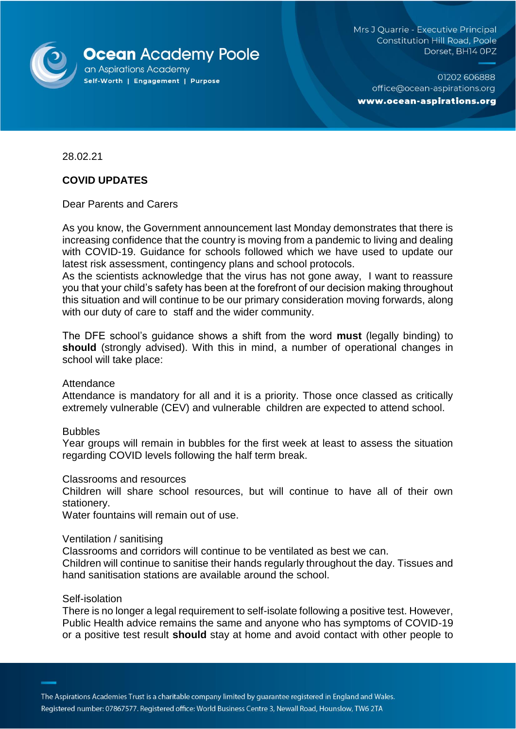

Mrs J Quarrie - Executive Principal **Constitution Hill Road, Poole** Dorset, BH14 OPZ

01202 606888 office@ocean-aspirations.org www.ocean-aspirations.org

28.02.21

# **COVID UPDATES**

Dear Parents and Carers

As you know, the Government announcement last Monday demonstrates that there is increasing confidence that the country is moving from a pandemic to living and dealing with COVID-19. Guidance for schools followed which we have used to update our latest risk assessment, contingency plans and school protocols.

As the scientists acknowledge that the virus has not gone away, I want to reassure you that your child's safety has been at the forefront of our decision making throughout this situation and will continue to be our primary consideration moving forwards, along with our duty of care to staff and the wider community.

The DFE school's guidance shows a shift from the word **must** (legally binding) to **should** (strongly advised). With this in mind, a number of operational changes in school will take place:

## Attendance

Attendance is mandatory for all and it is a priority. Those once classed as critically extremely vulnerable (CEV) and vulnerable children are expected to attend school.

## **Bubbles**

Year groups will remain in bubbles for the first week at least to assess the situation regarding COVID levels following the half term break.

## Classrooms and resources

Children will share school resources, but will continue to have all of their own stationery.

Water fountains will remain out of use.

## Ventilation / sanitising

Classrooms and corridors will continue to be ventilated as best we can.

Children will continue to sanitise their hands regularly throughout the day. Tissues and hand sanitisation stations are available around the school.

## Self-isolation

There is no longer a legal requirement to self-isolate following a positive test. However, Public Health advice remains the same and anyone who has symptoms of COVID-19 or a positive test result **should** stay at home and avoid contact with other people to